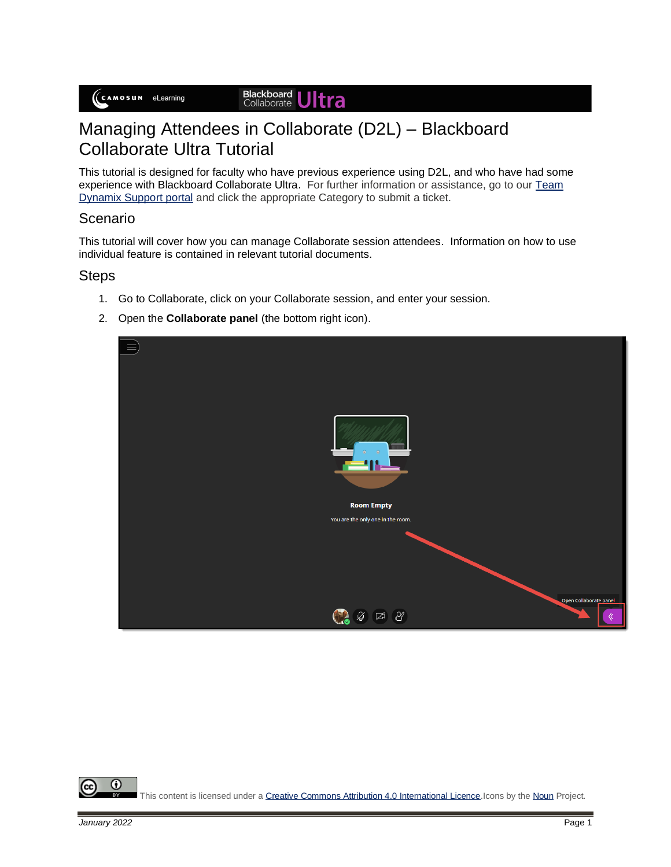Blackboard<br>Collaborate Jltra

## Managing Attendees in Collaborate (D2L) – Blackboard Collaborate Ultra Tutorial

This tutorial is designed for faculty who have previous experience using D2L, and who have had some experience with Blackboard Collaborate Ultra. For further information or assistance, go to our [Team](https://camosun.teamdynamix.com/TDClient/67/Portal/Requests/ServiceCatalog?CategoryID=523)  [Dynamix Support portal](https://camosun.teamdynamix.com/TDClient/67/Portal/Requests/ServiceCatalog?CategoryID=523) and click the appropriate Category to submit a ticket.

## Scenario

This tutorial will cover how you can manage Collaborate session attendees. Information on how to use individual feature is contained in relevant tutorial documents.

## **Steps**

- 1. Go to Collaborate, click on your Collaborate session, and enter your session.
- 2. Open the **Collaborate panel** (the bottom right icon).

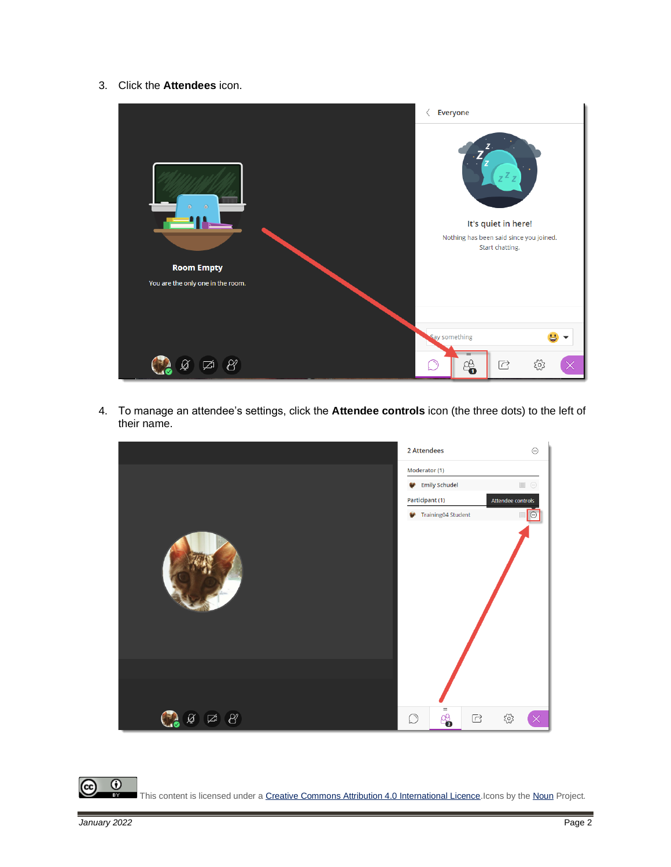3. Click the **Attendees** icon.



4. To manage an attendee's settings, click the **Attendee controls** icon (the three dots) to the left of their name.



 $\overline{\odot}$ This content is licensed under [a Creative Commons Attribution 4.0 International Licence.I](https://creativecommons.org/licenses/by/4.0/)cons by th[e Noun](https://creativecommons.org/website-icons/) Project.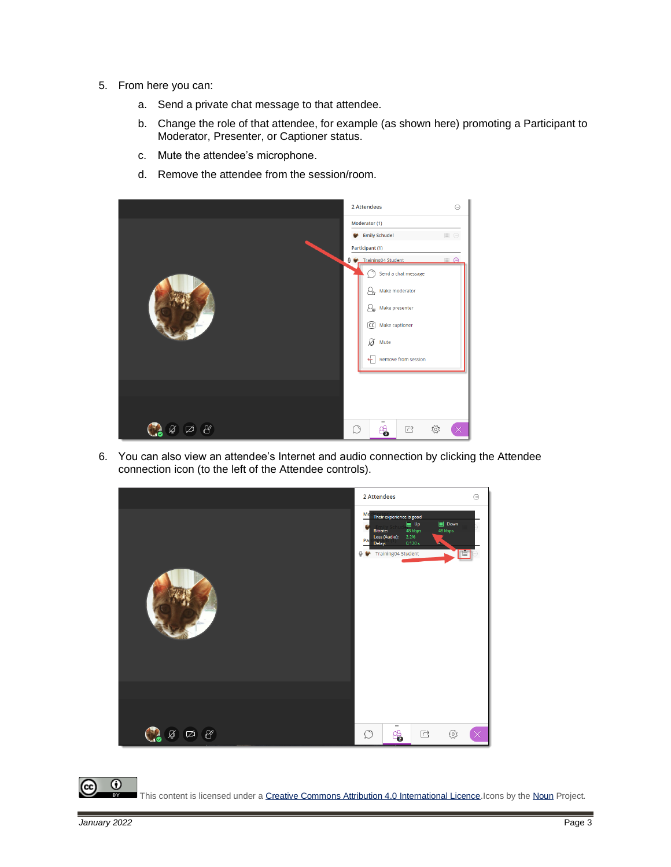- 5. From here you can:
	- a. Send a private chat message to that attendee.
	- b. Change the role of that attendee, for example (as shown here) promoting a Participant to Moderator, Presenter, or Captioner status.
	- c. Mute the attendee's microphone.
	- d. Remove the attendee from the session/room.



6. You can also view an attendee's Internet and audio connection by clicking the Attendee connection icon (to the left of the Attendee controls).



This content is licensed under [a Creative Commons Attribution 4.0 International Licence.I](https://creativecommons.org/licenses/by/4.0/)cons by th[e Noun](https://creativecommons.org/website-icons/) Project.

 $\odot$